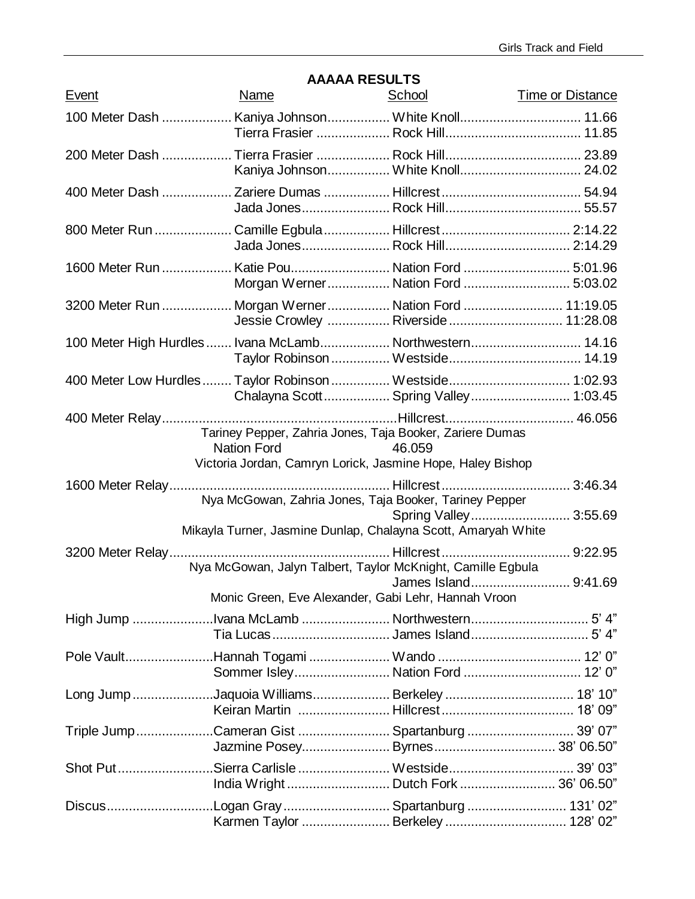| Event | AAAAA INLOULI U<br>Name                                                                                                                      | School                | Time or Distance |
|-------|----------------------------------------------------------------------------------------------------------------------------------------------|-----------------------|------------------|
|       | 100 Meter Dash  Kaniya Johnson White Knoll 11.66                                                                                             |                       |                  |
|       |                                                                                                                                              |                       |                  |
|       |                                                                                                                                              |                       |                  |
|       | 800 Meter Run  Camille Egbula  Hillcrest  2:14.22                                                                                            |                       |                  |
|       | 1600 Meter Run  Katie Pou Nation Ford  5:01.96<br>Morgan Werner Nation Ford  5:03.02                                                         |                       |                  |
|       | 3200 Meter Run  Morgan Werner  Nation Ford  11:19.05<br>Jessie Crowley  Riverside  11:28.08                                                  |                       |                  |
|       | 100 Meter High Hurdles  Ivana McLamb Northwestern 14.16                                                                                      |                       |                  |
|       | 400 Meter Low Hurdles  Taylor Robinson  Westside 1:02.93<br>Chalayna Scott Spring Valley 1:03.45                                             |                       |                  |
|       | Tariney Pepper, Zahria Jones, Taja Booker, Zariere Dumas<br><b>Nation Ford</b><br>Victoria Jordan, Camryn Lorick, Jasmine Hope, Haley Bishop | 46.059                |                  |
|       |                                                                                                                                              |                       |                  |
|       | Nya McGowan, Zahria Jones, Taja Booker, Tariney Pepper<br>Mikayla Turner, Jasmine Dunlap, Chalayna Scott, Amaryah White                      | Spring Valley 3:55.69 |                  |
|       | Nya McGowan, Jalyn Talbert, Taylor McKnight, Camille Egbula                                                                                  | James Island 9:41.69  |                  |
|       | Monic Green, Eve Alexander, Gabi Lehr, Hannah Vroon                                                                                          |                       |                  |
|       |                                                                                                                                              |                       |                  |
|       | Pole VaultHannah Togami  Wando  12' 0"<br>Sommer Isley Nation Ford  12' 0"                                                                   |                       |                  |
|       | Long JumpJaquoia Williams Berkeley 18' 10"                                                                                                   |                       |                  |
|       | Triple JumpCameran Gist  Spartanburg  39' 07"                                                                                                |                       |                  |
|       | Shot PutSierra Carlisle Westside 39' 03"                                                                                                     |                       |                  |
|       | DiscusLogan Gray Spartanburg 131'02"                                                                                                         |                       |                  |

# **AAAAA RESULTS**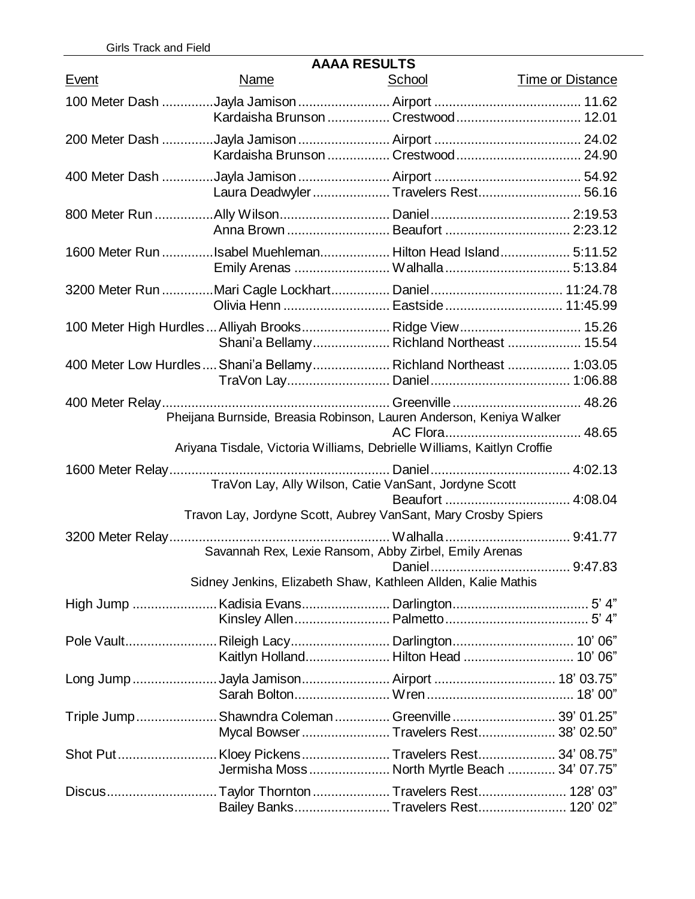| <b>AAAA RESULTS</b> |                                                                                                        |               |                         |  |  |
|---------------------|--------------------------------------------------------------------------------------------------------|---------------|-------------------------|--|--|
| Event               | Name                                                                                                   | <u>School</u> | <b>Time or Distance</b> |  |  |
|                     |                                                                                                        |               |                         |  |  |
|                     |                                                                                                        |               |                         |  |  |
|                     |                                                                                                        |               |                         |  |  |
|                     | Kardaisha Brunson  Crestwood  24.90                                                                    |               |                         |  |  |
|                     | Laura Deadwyler  Travelers Rest 56.16                                                                  |               |                         |  |  |
|                     |                                                                                                        |               |                         |  |  |
|                     | 1600 Meter Run Isabel Muehleman Hilton Head Island 5:11.52                                             |               |                         |  |  |
|                     | 3200 Meter Run Mari Cagle Lockhart Daniel 11:24.78                                                     |               |                         |  |  |
|                     | 100 Meter High Hurdles  Alliyah Brooks  Ridge View  15.26<br>Shani'a Bellamy Richland Northeast  15.54 |               |                         |  |  |
|                     | 400 Meter Low Hurdles  Shani'a Bellamy  Richland Northeast  1:03.05                                    |               |                         |  |  |
|                     | Pheijana Burnside, Breasia Robinson, Lauren Anderson, Keniya Walker                                    |               |                         |  |  |
|                     | Ariyana Tisdale, Victoria Williams, Debrielle Williams, Kaitlyn Croffie                                |               |                         |  |  |
|                     |                                                                                                        |               |                         |  |  |
|                     | Travon Lay, Jordyne Scott, Aubrey VanSant, Mary Crosby Spiers                                          |               |                         |  |  |
|                     | Savannah Rex, Lexie Ransom, Abby Zirbel, Emily Arenas                                                  |               |                         |  |  |
|                     | Sidney Jenkins, Elizabeth Shaw, Kathleen Allden, Kalie Mathis                                          |               |                         |  |  |
|                     |                                                                                                        |               |                         |  |  |
|                     | Pole VaultRileigh Lacy Darlington 10' 06"                                                              |               |                         |  |  |
|                     |                                                                                                        |               |                         |  |  |
|                     | Triple Jump Shawndra Coleman  Greenville  39' 01.25"<br>Mycal Bowser Travelers Rest 38' 02.50"         |               |                         |  |  |
|                     | Jermisha Moss North Myrtle Beach  34' 07.75"                                                           |               |                         |  |  |
|                     | DiscusTaylor ThorntonTravelers Rest 128' 03"<br>Bailey Banks Travelers Rest 120' 02"                   |               |                         |  |  |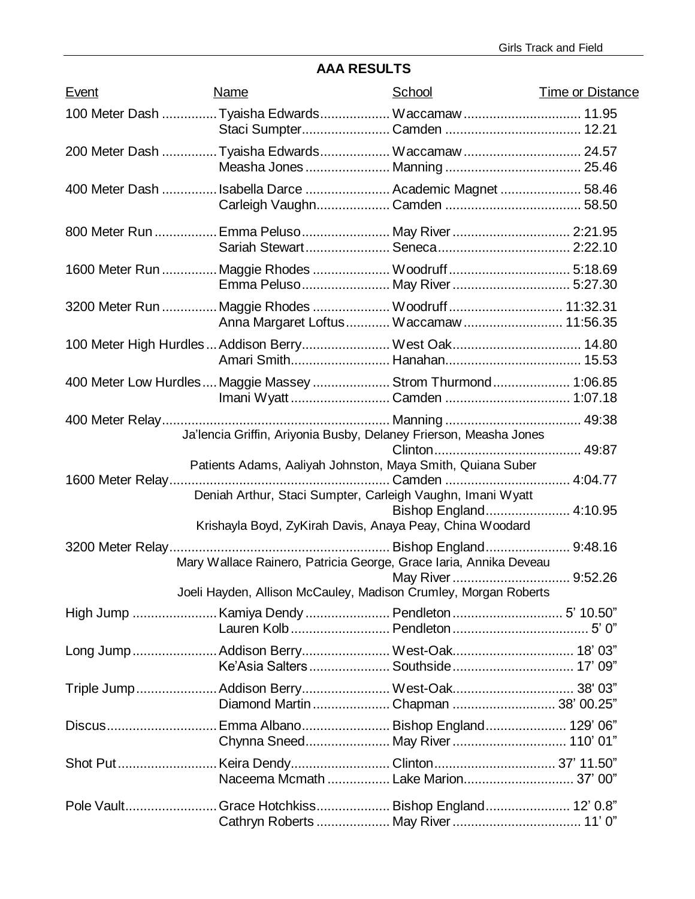# **AAA RESULTS**

| <b>Event</b> | <b>Name</b> | School                                                                                                                   | <b>Time or Distance</b> |
|--------------|-------------|--------------------------------------------------------------------------------------------------------------------------|-------------------------|
|              |             | 100 Meter Dash Tyaisha Edwards Waccamaw  11.95                                                                           |                         |
|              |             | 200 Meter Dash Tyaisha Edwards Waccamaw  24.57                                                                           |                         |
|              |             | 400 Meter Dash Isabella Darce  Academic Magnet  58.46                                                                    |                         |
|              |             | 800 Meter Run  Emma Peluso  May River  2:21.95                                                                           |                         |
|              |             | 1600 Meter Run  Maggie Rhodes  Woodruff  5:18.69                                                                         |                         |
|              |             | 3200 Meter Run  Maggie Rhodes  Woodruff  11:32.31<br>Anna Margaret Loftus Waccamaw 11:56.35                              |                         |
|              |             | 100 Meter High Hurdles  Addison Berry West Oak 14.80                                                                     |                         |
|              |             | 400 Meter Low Hurdles  Maggie Massey  Strom Thurmond  1:06.85                                                            |                         |
|              |             | Ja'lencia Griffin, Ariyonia Busby, Delaney Frierson, Measha Jones                                                        |                         |
|              |             | Patients Adams, Aaliyah Johnston, Maya Smith, Quiana Suber<br>Deniah Arthur, Staci Sumpter, Carleigh Vaughn, Imani Wyatt |                         |
|              |             | Krishayla Boyd, ZyKirah Davis, Anaya Peay, China Woodard                                                                 |                         |
|              |             | Mary Wallace Rainero, Patricia George, Grace Iaria, Annika Deveau                                                        |                         |
|              |             | Joeli Hayden, Allison McCauley, Madison Crumley, Morgan Roberts                                                          |                         |
|              |             |                                                                                                                          |                         |
|              |             | Long Jump Addison Berry West-Oak 18' 03"                                                                                 |                         |
|              |             | Triple Jump Addison Berry West-Oak 38' 03"<br>Diamond Martin  Chapman  38' 00.25"                                        |                         |
|              |             | Discus Emma Albano Bishop England 129' 06"<br>Chynna Sneed May River 110' 01"                                            |                         |
|              |             |                                                                                                                          |                         |
|              |             | Pole VaultGrace Hotchkiss Bishop England 12' 0.8"                                                                        |                         |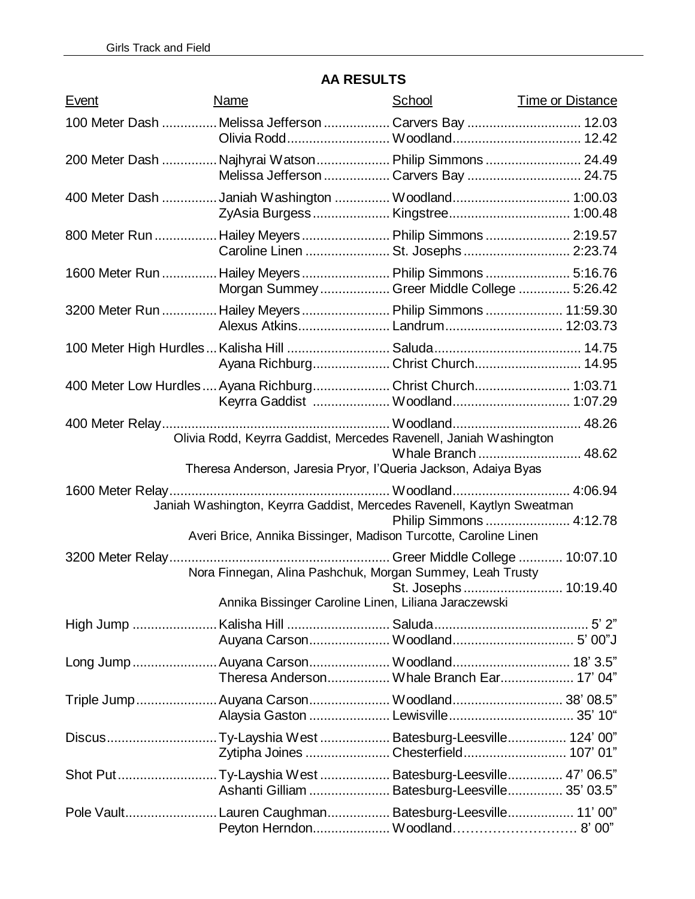| Event | Name                                                                                                              | School                  | <b>Time or Distance</b> |
|-------|-------------------------------------------------------------------------------------------------------------------|-------------------------|-------------------------|
|       | 100 Meter Dash  Melissa Jefferson  Carvers Bay  12.03                                                             |                         |                         |
|       | 200 Meter Dash  Najhyrai Watson  Philip Simmons  24.49<br>Melissa Jefferson  Carvers Bay  24.75                   |                         |                         |
|       | 400 Meter Dash Janiah Washington  Woodland 1:00.03                                                                |                         |                         |
|       | 800 Meter Run  Hailey Meyers  Philip Simmons  2:19.57<br>Caroline Linen  St. Josephs  2:23.74                     |                         |                         |
|       | 1600 Meter Run  Hailey Meyers  Philip Simmons  5:16.76<br>Morgan Summey Greer Middle College  5:26.42             |                         |                         |
|       | 3200 Meter Run  Hailey Meyers  Philip Simmons  11:59.30<br>Alexus Atkins Landrum 12:03.73                         |                         |                         |
|       | Ayana Richburg Christ Church 14.95                                                                                |                         |                         |
|       | 400 Meter Low Hurdles  Ayana Richburg Christ Church 1:03.71                                                       |                         |                         |
|       | Olivia Rodd, Keyrra Gaddist, Mercedes Ravenell, Janiah Washington                                                 |                         |                         |
|       | Theresa Anderson, Jaresia Pryor, l'Queria Jackson, Adaiya Byas                                                    | Whale Branch  48.62     |                         |
|       | Janiah Washington, Keyrra Gaddist, Mercedes Ravenell, Kaytlyn Sweatman                                            |                         |                         |
|       | Averi Brice, Annika Bissinger, Madison Turcotte, Caroline Linen                                                   | Philip Simmons  4:12.78 |                         |
|       |                                                                                                                   |                         |                         |
|       | Nora Finnegan, Alina Pashchuk, Morgan Summey, Leah Trusty<br>Annika Bissinger Caroline Linen, Liliana Jaraczewski | St. Josephs 10:19.40    |                         |
|       |                                                                                                                   |                         |                         |
|       |                                                                                                                   |                         |                         |
|       | Long Jump  Auyana Carson Woodland 18' 3.5"<br>Theresa Anderson Whale Branch Ear 17' 04"                           |                         |                         |
|       | Triple Jump Auyana Carson Woodland 38' 08.5"                                                                      |                         |                         |
|       | DiscusTy-Layshia West  Batesburg-Leesville 124' 00"<br>Zytipha Joines Chesterfield 107' 01"                       |                         |                         |
|       | Shot Put Ty-Layshia West  Batesburg-Leesville 47' 06.5"<br>Ashanti Gilliam  Batesburg-Leesville 35' 03.5"         |                         |                         |
|       | Pole VaultLauren Caughman Batesburg-Leesville 11' 00"                                                             |                         |                         |

# **AA RESULTS**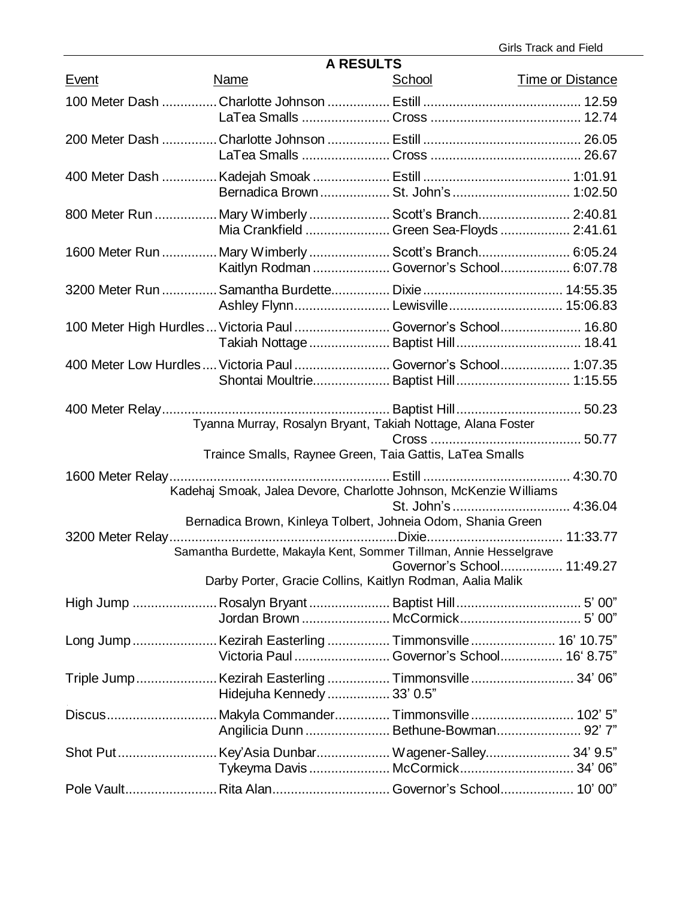Girls Track and Field

| <b>A RESULTS</b> |                                                                                                                                    |                                                                                                                        |                         |  |  |
|------------------|------------------------------------------------------------------------------------------------------------------------------------|------------------------------------------------------------------------------------------------------------------------|-------------------------|--|--|
| <b>Event</b>     | Name                                                                                                                               | <u>School</u>                                                                                                          | <b>Time or Distance</b> |  |  |
|                  |                                                                                                                                    |                                                                                                                        |                         |  |  |
|                  |                                                                                                                                    |                                                                                                                        |                         |  |  |
|                  |                                                                                                                                    |                                                                                                                        |                         |  |  |
|                  | 800 Meter Run  Mary Wimberly  Scott's Branch 2:40.81                                                                               | Mia Crankfield  Green Sea-Floyds  2:41.61                                                                              |                         |  |  |
|                  | 1600 Meter Run  Mary Wimberly  Scott's Branch 6:05.24                                                                              | Kaitlyn Rodman  Governor's School 6:07.78                                                                              |                         |  |  |
|                  |                                                                                                                                    |                                                                                                                        |                         |  |  |
|                  | 100 Meter High Hurdles  Victoria Paul  Governor's School 16.80                                                                     |                                                                                                                        |                         |  |  |
|                  | 400 Meter Low Hurdles  Victoria Paul  Governor's School 1:07.35                                                                    | Shontai Moultrie Baptist Hill 1:15.55                                                                                  |                         |  |  |
|                  |                                                                                                                                    | Tyanna Murray, Rosalyn Bryant, Takiah Nottage, Alana Foster<br>Traince Smalls, Raynee Green, Taia Gattis, LaTea Smalls |                         |  |  |
|                  | Kadehaj Smoak, Jalea Devore, Charlotte Johnson, McKenzie Williams                                                                  |                                                                                                                        |                         |  |  |
|                  | Bernadica Brown, Kinleya Tolbert, Johneia Odom, Shania Green<br>Samantha Burdette, Makayla Kent, Sommer Tillman, Annie Hesselgrave | Governor's School 11:49.27<br>Darby Porter, Gracie Collins, Kaitlyn Rodman, Aalia Malik                                |                         |  |  |
|                  |                                                                                                                                    |                                                                                                                        |                         |  |  |
|                  | Long Jump Kezirah Easterling  Timmonsville  16' 10.75"                                                                             | Victoria Paul Governor's School 16' 8.75"                                                                              |                         |  |  |
|                  | Triple JumpKezirah Easterling  Timmonsville  34' 06"<br>Hidejuha Kennedy  33' 0.5"                                                 |                                                                                                                        |                         |  |  |
|                  |                                                                                                                                    | Angilicia Dunn  Bethune-Bowman 92'7"                                                                                   |                         |  |  |
|                  |                                                                                                                                    |                                                                                                                        |                         |  |  |
|                  | Pole Vault Rita Alan Governor's School 10' 00"                                                                                     |                                                                                                                        |                         |  |  |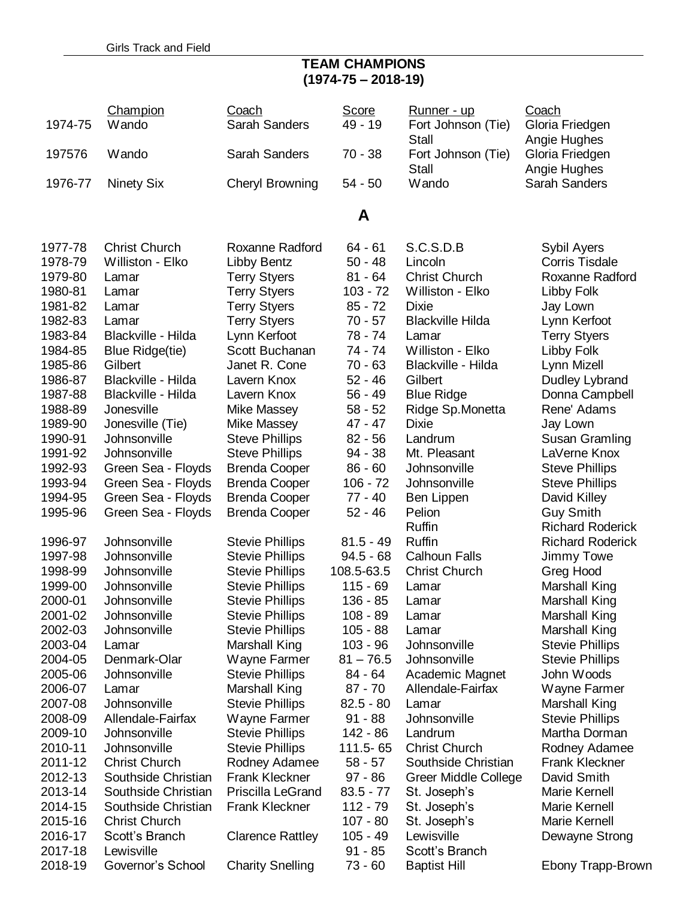### **TEAM CHAMPIONS (1974-75 – 2018-19)**

| 1974-75            | Champion<br>Wando                 | Coach<br>Sarah Sanders                 | Score<br>49 - 19         | <u>Runner - up</u><br>Fort Johnson (Tie) | Coach<br>Gloria Friedgen             |
|--------------------|-----------------------------------|----------------------------------------|--------------------------|------------------------------------------|--------------------------------------|
| 197576             | Wando                             | Sarah Sanders                          | $70 - 38$                | Stall<br>Fort Johnson (Tie)              | Angie Hughes<br>Gloria Friedgen      |
|                    |                                   |                                        |                          | <b>Stall</b>                             | Angie Hughes                         |
| 1976-77            | <b>Ninety Six</b>                 | <b>Cheryl Browning</b>                 | $54 - 50$                | Wando                                    | <b>Sarah Sanders</b>                 |
|                    |                                   |                                        | A                        |                                          |                                      |
| 1977-78            | <b>Christ Church</b>              | Roxanne Radford                        | $64 - 61$                | S.C.S.D.B                                | Sybil Ayers                          |
| 1978-79            | Williston - Elko                  | Libby Bentz                            | $50 - 48$                | Lincoln                                  | <b>Corris Tisdale</b>                |
| 1979-80            | Lamar                             | <b>Terry Styers</b>                    | $81 - 64$                | <b>Christ Church</b>                     | Roxanne Radford                      |
| 1980-81            | Lamar                             | <b>Terry Styers</b>                    | $103 - 72$               | Williston - Elko                         | Libby Folk                           |
| 1981-82            | Lamar                             | <b>Terry Styers</b>                    | $85 - 72$                | <b>Dixie</b>                             | Jay Lown                             |
| 1982-83            | Lamar<br>Blackville - Hilda       | <b>Terry Styers</b>                    | $70 - 57$                | <b>Blackville Hilda</b>                  | Lynn Kerfoot                         |
| 1983-84<br>1984-85 |                                   | Lynn Kerfoot<br>Scott Buchanan         | 78 - 74<br>$74 - 74$     | Lamar<br>Williston - Elko                | <b>Terry Styers</b>                  |
| 1985-86            | <b>Blue Ridge(tie)</b><br>Gilbert | Janet R. Cone                          | $70 - 63$                | Blackville - Hilda                       | Libby Folk<br>Lynn Mizell            |
| 1986-87            | Blackville - Hilda                | Lavern Knox                            | $52 - 46$                | Gilbert                                  | Dudley Lybrand                       |
| 1987-88            | Blackville - Hilda                | Lavern Knox                            | $56 - 49$                | <b>Blue Ridge</b>                        | Donna Campbell                       |
| 1988-89            | Jonesville                        | Mike Massey                            | $58 - 52$                | Ridge Sp. Monetta                        | Rene' Adams                          |
| 1989-90            | Jonesville (Tie)                  | <b>Mike Massey</b>                     | $47 - 47$                | <b>Dixie</b>                             | Jay Lown                             |
| 1990-91            | Johnsonville                      | <b>Steve Phillips</b>                  | $82 - 56$                | Landrum                                  | Susan Gramling                       |
| 1991-92            | Johnsonville                      | <b>Steve Phillips</b>                  | $94 - 38$                | Mt. Pleasant                             | LaVerne Knox                         |
| 1992-93            | Green Sea - Floyds                | <b>Brenda Cooper</b>                   | $86 - 60$                | Johnsonville                             | <b>Steve Phillips</b>                |
| 1993-94            | Green Sea - Floyds                | <b>Brenda Cooper</b>                   | $106 - 72$               | Johnsonville                             | <b>Steve Phillips</b>                |
| 1994-95            | Green Sea - Floyds                | <b>Brenda Cooper</b>                   | $77 - 40$                | Ben Lippen                               | David Killey                         |
| 1995-96            | Green Sea - Floyds                | <b>Brenda Cooper</b>                   | $52 - 46$                | Pelion                                   | <b>Guy Smith</b>                     |
|                    |                                   |                                        |                          | <b>Ruffin</b>                            | <b>Richard Roderick</b>              |
| 1996-97            | Johnsonville                      | <b>Stevie Phillips</b>                 | $81.5 - 49$              | <b>Ruffin</b>                            | <b>Richard Roderick</b>              |
| 1997-98            | Johnsonville                      | <b>Stevie Phillips</b>                 | $94.5 - 68$              | <b>Calhoun Falls</b>                     | Jimmy Towe                           |
| 1998-99            | Johnsonville                      | <b>Stevie Phillips</b>                 | 108.5-63.5               | <b>Christ Church</b>                     | Greg Hood                            |
| 1999-00            | Johnsonville                      | <b>Stevie Phillips</b>                 | $115 - 69$               | Lamar                                    | Marshall King                        |
| 2000-01            | Johnsonville                      | <b>Stevie Phillips</b>                 | 136 - 85                 | Lamar                                    | <b>Marshall King</b>                 |
| 2001-02            | Johnsonville                      | <b>Stevie Phillips</b>                 | 108 - 89                 | Lamar                                    | Marshall King                        |
| 2002-03            | Johnsonville                      | <b>Stevie Phillips</b>                 | $105 - 88$               | Lamar                                    | Marshall King                        |
| 2003-04            | Lamar                             | Marshall King                          | $103 - 96$               | Johnsonville                             | <b>Stevie Phillips</b>               |
| 2004-05<br>2005-06 | Denmark-Olar<br>Johnsonville      | Wayne Farmer<br><b>Stevie Phillips</b> | $81 - 76.5$<br>$84 - 64$ | Johnsonville                             | <b>Stevie Phillips</b><br>John Woods |
| 2006-07            | Lamar                             | Marshall King                          | $87 - 70$                | Academic Magnet<br>Allendale-Fairfax     | Wayne Farmer                         |
| 2007-08            | Johnsonville                      | <b>Stevie Phillips</b>                 | $82.5 - 80$              | Lamar                                    | Marshall King                        |
| 2008-09            | Allendale-Fairfax                 | Wayne Farmer                           | $91 - 88$                | Johnsonville                             | <b>Stevie Phillips</b>               |
| 2009-10            | Johnsonville                      | <b>Stevie Phillips</b>                 | $142 - 86$               | Landrum                                  | Martha Dorman                        |
| 2010-11            | Johnsonville                      | <b>Stevie Phillips</b>                 | 111.5 - 65               | <b>Christ Church</b>                     | Rodney Adamee                        |
| 2011-12            | <b>Christ Church</b>              | Rodney Adamee                          | $58 - 57$                | Southside Christian                      | <b>Frank Kleckner</b>                |
| 2012-13            | Southside Christian               | <b>Frank Kleckner</b>                  | 97 - 86                  | Greer Middle College                     | David Smith                          |
| 2013-14            | Southside Christian               | Priscilla LeGrand                      | $83.5 - 77$              | St. Joseph's                             | Marie Kernell                        |
| 2014-15            | Southside Christian               | <b>Frank Kleckner</b>                  | $112 - 79$               | St. Joseph's                             | Marie Kernell                        |
| 2015-16            | <b>Christ Church</b>              |                                        | $107 - 80$               | St. Joseph's                             | Marie Kernell                        |
| 2016-17            | Scott's Branch                    | <b>Clarence Rattley</b>                | $105 - 49$               | Lewisville                               | Dewayne Strong                       |
| 2017-18            | Lewisville                        |                                        | $91 - 85$                | Scott's Branch                           |                                      |
| 2018-19            | Governor's School                 | <b>Charity Snelling</b>                | $73 - 60$                | <b>Baptist Hill</b>                      | Ebony Trapp-Brown                    |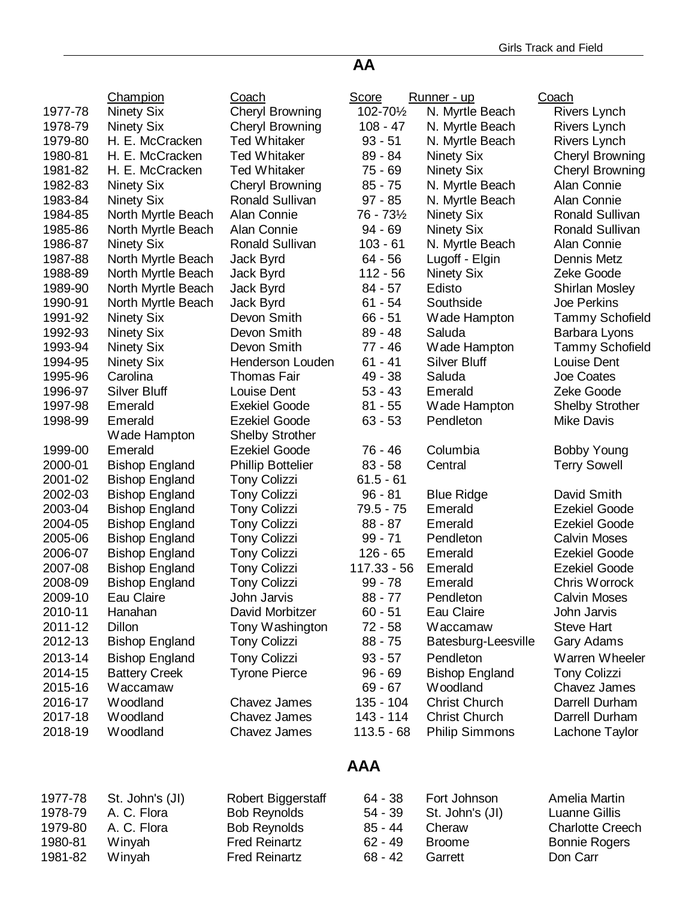#### Champion Coach Score Runner - up Coach 1977-78 Ninety Six Cheryl Browning 102-70½ N. Myrtle Beach Rivers Lynch 1978-79 Ninety Six Cheryl Browning 108 - 47 N. Myrtle Beach Rivers Lynch 1979-80 H. E. McCracken Ted Whitaker 93 - 51 N. Myrtle Beach Rivers Lynch 1980-81 H. E. McCracken Ted Whitaker 89 - 84 Ninety Six Cheryl Browning 1981-82 H. E. McCracken Ted Whitaker 75 - 69 Ninety Six Cheryl Browning 1982-83 Ninety Six Cheryl Browning 85 - 75 N. Myrtle Beach Alan Connie 1983-84 Ninety Six Ronald Sullivan 97 - 85 N. Myrtle Beach Alan Connie 1984-85 North Myrtle Beach Alan Connie  $76 - 73\frac{1}{2}$  Ninety Six Ronald Sullivan 1985-86 North Myrtle Beach Alan Connie 594 - 69 Ninety Six Ronald Sullivan 1986-87 Ninety Six **Ronald Sullivan 103 - 61 N. Myrtle Beach** Alan Connie 1987-88 North Myrtle Beach Jack Byrd 64 - 56 Lugoff - Elgin Dennis Metz 1988-89 North Myrtle Beach Jack Byrd 112 - 56 Ninety Six Zeke Goode 1989-90 North Myrtle Beach Jack Byrd 84 - 57 Edisto Shirlan Mosley 1990-91 North Myrtle Beach Jack Byrd 61 - 54 Southside Joe Perkins 1991-92 Ninety Six Devon Smith 66 - 51 Wade Hampton Tammy Schofield 1992-93 Ninety Six Devon Smith 89 - 48 Saluda Barbara Lyons 1993-94 Ninety Six Devon Smith 77 - 46 Wade Hampton Tammy Schofield 1994-95 Ninety Six Henderson Louden 61 - 41 Silver Bluff Louise Dent 1995-96 Carolina Thomas Fair 49 - 38 Saluda Joe Coates 1996-97 Silver Bluff Louise Dent 53 - 43 Emerald Zeke Goode 1997-98 Emerald Exekiel Goode 81 - 55 Wade Hampton Shelby Strother 1998-99 Emerald Wade Hampton Ezekiel Goode Shelby Strother 63 - 53 Pendleton Mike Davis 1999-00 Emerald Ezekiel Goode 76 - 46 Columbia Bobby Young 2000-01 Bishop England Phillip Bottelier 83 - 58 Central Terry Sowell 2001-02 Bishop England Tony Colizzi 61.5 - 61 2002-03 Bishop England Tony Colizzi 96 - 81 Blue Ridge David Smith 2003-04 Bishop England Tony Colizzi 79.5 - 75 Emerald Ezekiel Goode 2004-05 Bishop England Tony Colizzi 88 - 87 Emerald Ezekiel Goode 2005-06 Bishop England Tony Colizzi 99 - 71 Pendleton Calvin Moses 2006-07 Bishop England Tony Colizzi 126 - 65 Emerald Ezekiel Goode 2007-08 Bishop England Tony Colizzi 117.33 - 56 Emerald Ezekiel Goode 2008-09 Bishop England Tony Colizzi 99 - 78 Emerald Chris Worrock 2009-10 Eau Claire John Jarvis 88 - 77 Pendleton Calvin Moses 2010-11 Hanahan David Morbitzer 60 - 51 Eau Claire John Jarvis 2011-12 Dillon Tony Washington 72 - 58 Waccamaw Steve Hart 2012-13 Bishop England Tony Colizzi 88 - 75 Batesburg-Leesville Gary Adams 2013-14 Bishop England Tony Colizzi 93 - 57 Pendleton Warren Wheeler 2014-15 Battery Creek Tyrone Pierce 96 - 69 Bishop England Tony Colizzi<br>2015-16 Waccamaw 1999-67 Woodland Chavez Jame 2015-16 Waccamaw 69 - 67 Woodland Chavez James 2016-17 Woodland Chavez James 135 - 104 Christ Church Darrell Durham 2017-18 Woodland Chavez James 143 - 114 Christ Church Darrell Durham 2018-19 Woodland Chavez James 113.5 - 68 Philip Simmons Lachone Taylor

### **AAA**

**AA**

|         | 1977-78 St. John's (JI) | Robert Biggerstaff   | 64 - 38   | Fort Johnson            | Amelia Martin           |
|---------|-------------------------|----------------------|-----------|-------------------------|-------------------------|
| 1978-79 | A. C. Flora             | <b>Bob Reynolds</b>  |           | 54 - 39 St. John's (JI) | Luanne Gillis           |
| 1979-80 | A. C. Flora             | <b>Bob Reynolds</b>  | 85 - 44   | Cheraw                  | <b>Charlotte Creech</b> |
| 1980-81 | Winyah                  | <b>Fred Reinartz</b> | $62 - 49$ | <b>Broome</b>           | <b>Bonnie Rogers</b>    |
| 1981-82 | Winyah                  | <b>Fred Reinartz</b> | 68 - 42   | Garrett                 | Don Carr                |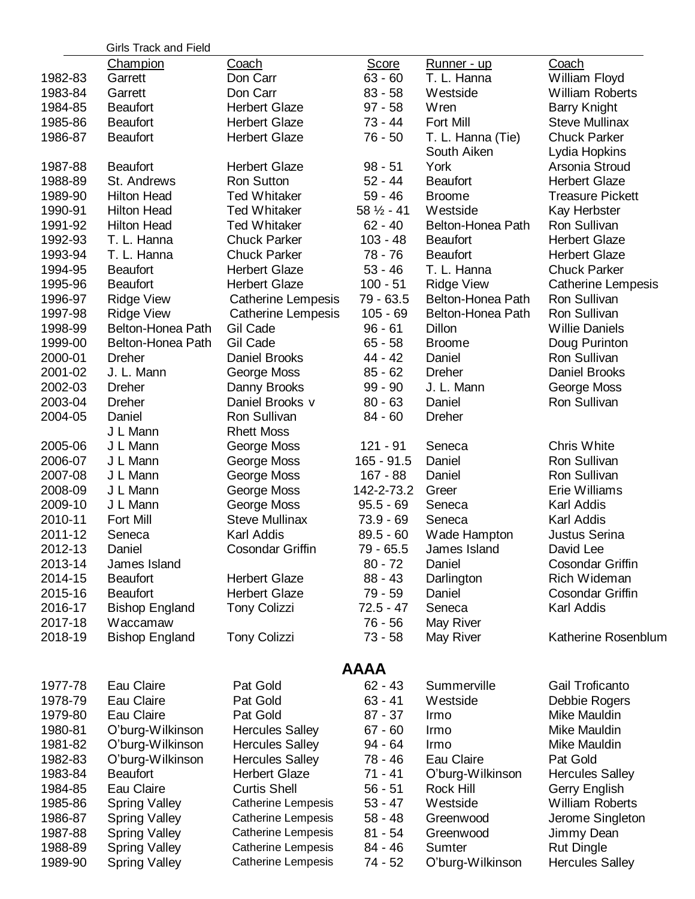|         | <b>Girls Track and Field</b> |                           |                      |                    |                           |
|---------|------------------------------|---------------------------|----------------------|--------------------|---------------------------|
|         | <b>Champion</b>              | <b>Coach</b>              | <b>Score</b>         | <u>Runner - up</u> | Coach                     |
| 1982-83 | Garrett                      | Don Carr                  | $63 - 60$            | T. L. Hanna        | William Floyd             |
| 1983-84 | Garrett                      | Don Carr                  | $83 - 58$            | Westside           | <b>William Roberts</b>    |
| 1984-85 | <b>Beaufort</b>              | <b>Herbert Glaze</b>      | $97 - 58$            | Wren               | <b>Barry Knight</b>       |
| 1985-86 | <b>Beaufort</b>              | <b>Herbert Glaze</b>      | $73 - 44$            | Fort Mill          | <b>Steve Mullinax</b>     |
| 1986-87 | <b>Beaufort</b>              | <b>Herbert Glaze</b>      | 76 - 50              | T. L. Hanna (Tie)  | <b>Chuck Parker</b>       |
|         |                              |                           |                      | South Aiken        | Lydia Hopkins             |
| 1987-88 | <b>Beaufort</b>              | <b>Herbert Glaze</b>      | $98 - 51$            | York               | Arsonia Stroud            |
| 1988-89 | St. Andrews                  | <b>Ron Sutton</b>         | $52 - 44$            | <b>Beaufort</b>    | <b>Herbert Glaze</b>      |
| 1989-90 | <b>Hilton Head</b>           | <b>Ted Whitaker</b>       | $59 - 46$            | <b>Broome</b>      | <b>Treasure Pickett</b>   |
| 1990-91 | <b>Hilton Head</b>           | <b>Ted Whitaker</b>       | $58\frac{1}{2} - 41$ | Westside           | Kay Herbster              |
| 1991-92 | <b>Hilton Head</b>           | <b>Ted Whitaker</b>       | $62 - 40$            | Belton-Honea Path  | Ron Sullivan              |
| 1992-93 | T. L. Hanna                  | <b>Chuck Parker</b>       | $103 - 48$           | <b>Beaufort</b>    | <b>Herbert Glaze</b>      |
| 1993-94 | T. L. Hanna                  | <b>Chuck Parker</b>       | 78 - 76              | <b>Beaufort</b>    | <b>Herbert Glaze</b>      |
| 1994-95 | <b>Beaufort</b>              | <b>Herbert Glaze</b>      | $53 - 46$            | T. L. Hanna        | <b>Chuck Parker</b>       |
| 1995-96 | <b>Beaufort</b>              | <b>Herbert Glaze</b>      | $100 - 51$           | <b>Ridge View</b>  | <b>Catherine Lempesis</b> |
| 1996-97 | <b>Ridge View</b>            | <b>Catherine Lempesis</b> | $79 - 63.5$          | Belton-Honea Path  | Ron Sullivan              |
| 1997-98 | <b>Ridge View</b>            | Catherine Lempesis        | $105 - 69$           | Belton-Honea Path  | Ron Sullivan              |
| 1998-99 | Belton-Honea Path            | Gil Cade                  | $96 - 61$            | Dillon             | <b>Willie Daniels</b>     |
| 1999-00 | Belton-Honea Path            | Gil Cade                  | $65 - 58$            | <b>Broome</b>      | Doug Purinton             |
| 2000-01 | <b>Dreher</b>                | Daniel Brooks             | 44 - 42              | Daniel             | Ron Sullivan              |
| 2001-02 | J. L. Mann                   | George Moss               | $85 - 62$            | <b>Dreher</b>      | Daniel Brooks             |
| 2002-03 | <b>Dreher</b>                | Danny Brooks              | $99 - 90$            | J. L. Mann         | George Moss               |
| 2003-04 | <b>Dreher</b>                | Daniel Brooks v           | $80 - 63$            | Daniel             | Ron Sullivan              |
| 2004-05 | Daniel                       | Ron Sullivan              | $84 - 60$            | <b>Dreher</b>      |                           |
|         | J L Mann                     | <b>Rhett Moss</b>         |                      |                    |                           |
| 2005-06 | J L Mann                     | George Moss               | 121 - 91             | Seneca             | <b>Chris White</b>        |
| 2006-07 | J L Mann                     | George Moss               | $165 - 91.5$         | Daniel             | Ron Sullivan              |
| 2007-08 | J L Mann                     | George Moss               | 167 - 88             | Daniel             | Ron Sullivan              |
| 2008-09 | J L Mann                     | George Moss               | 142-2-73.2           | Greer              | Erie Williams             |
| 2009-10 | J L Mann                     | George Moss               | $95.5 - 69$          | Seneca             | Karl Addis                |
| 2010-11 | Fort Mill                    | <b>Steve Mullinax</b>     | $73.9 - 69$          | Seneca             | Karl Addis                |
| 2011-12 | Seneca                       | Karl Addis                | $89.5 - 60$          | Wade Hampton       | <b>Justus Serina</b>      |
| 2012-13 | Daniel                       | <b>Cosondar Griffin</b>   | 79 - 65.5            | James Island       | David Lee                 |
| 2013-14 | James Island                 |                           | $80 - 72$            | Daniel             | <b>Cosondar Griffin</b>   |
| 2014-15 | <b>Beaufort</b>              | <b>Herbert Glaze</b>      | $88 - 43$            | Darlington         | Rich Wideman              |
| 2015-16 | <b>Beaufort</b>              | <b>Herbert Glaze</b>      | $79 - 59$            | Daniel             | <b>Cosondar Griffin</b>   |
| 2016-17 | <b>Bishop England</b>        | <b>Tony Colizzi</b>       | $72.5 - 47$          | Seneca             | Karl Addis                |
| 2017-18 | Waccamaw                     |                           | $76 - 56$            | May River          |                           |
| 2018-19 | <b>Bishop England</b>        | <b>Tony Colizzi</b>       | 73 - 58              | May River          | Katherine Rosenblum       |
|         |                              |                           |                      |                    |                           |
|         |                              |                           | <b>AAAA</b>          |                    |                           |
| 1977-78 | Eau Claire                   | Pat Gold                  | $62 - 43$            | Summerville        | Gail Troficanto           |
| 1978-79 | Eau Claire                   | Pat Gold                  | $63 - 41$            | Westside           | Debbie Rogers             |
| 1979-80 | Eau Claire                   | Pat Gold                  | $87 - 37$            | Irmo               | Mike Mauldin              |
| 1980-81 | O'burg-Wilkinson             | <b>Hercules Salley</b>    | $67 - 60$            | Irmo               | Mike Mauldin              |
| 1981-82 | O'burg-Wilkinson             | <b>Hercules Salley</b>    | 94 - 64              | Irmo               | Mike Mauldin              |
| 1982-83 | O'burg-Wilkinson             | <b>Hercules Salley</b>    | 78 - 46              | Eau Claire         | Pat Gold                  |
| 1983-84 | <b>Beaufort</b>              | <b>Herbert Glaze</b>      | $71 - 41$            | O'burg-Wilkinson   | <b>Hercules Salley</b>    |
| 1984-85 | Eau Claire                   | <b>Curtis Shell</b>       | $56 - 51$            | Rock Hill          | Gerry English             |
| 1985-86 |                              | <b>Catherine Lempesis</b> | $53 - 47$            | Westside           | <b>William Roberts</b>    |
|         | <b>Spring Valley</b>         | <b>Catherine Lempesis</b> | $58 - 48$            | Greenwood          |                           |
| 1986-87 | <b>Spring Valley</b>         |                           |                      |                    | Jerome Singleton          |
| 1987-88 | <b>Spring Valley</b>         | <b>Catherine Lempesis</b> | $81 - 54$            | Greenwood          | Jimmy Dean                |
| 1988-89 | <b>Spring Valley</b>         | <b>Catherine Lempesis</b> | 84 - 46              | Sumter             | <b>Rut Dingle</b>         |
| 1989-90 | <b>Spring Valley</b>         | <b>Catherine Lempesis</b> | 74 - 52              | O'burg-Wilkinson   | <b>Hercules Salley</b>    |
|         |                              |                           |                      |                    |                           |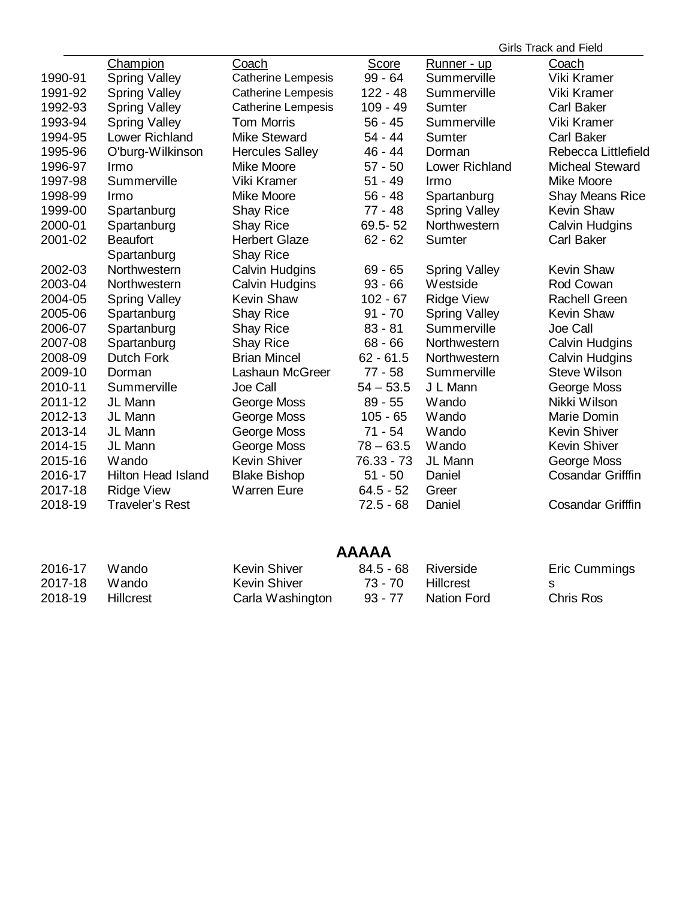|         |                           |                           |             |                      | <b>Girls Track and Field</b> |
|---------|---------------------------|---------------------------|-------------|----------------------|------------------------------|
|         | Champion                  | Coach                     | Score       | Runner - up          | Coach                        |
| 1990-91 | <b>Spring Valley</b>      | <b>Catherine Lempesis</b> | $99 - 64$   | Summerville          | Viki Kramer                  |
| 1991-92 | <b>Spring Valley</b>      | <b>Catherine Lempesis</b> | $122 - 48$  | Summerville          | Viki Kramer                  |
| 1992-93 | <b>Spring Valley</b>      | <b>Catherine Lempesis</b> | $109 - 49$  | <b>Sumter</b>        | <b>Carl Baker</b>            |
| 1993-94 | <b>Spring Valley</b>      | <b>Tom Morris</b>         | $56 - 45$   | Summerville          | Viki Kramer                  |
| 1994-95 | <b>Lower Richland</b>     | <b>Mike Steward</b>       | $54 - 44$   | Sumter               | <b>Carl Baker</b>            |
| 1995-96 | O'burg-Wilkinson          | <b>Hercules Salley</b>    | $46 - 44$   | Dorman               | Rebecca Littlefield          |
| 1996-97 | Irmo                      | Mike Moore                | $57 - 50$   | Lower Richland       | <b>Micheal Steward</b>       |
| 1997-98 | Summerville               | Viki Kramer               | $51 - 49$   | Irmo                 | Mike Moore                   |
| 1998-99 | Irmo                      | Mike Moore                | $56 - 48$   | Spartanburg          | <b>Shay Means Rice</b>       |
| 1999-00 | Spartanburg               | <b>Shay Rice</b>          | $77 - 48$   | <b>Spring Valley</b> | Kevin Shaw                   |
| 2000-01 | Spartanburg               | <b>Shay Rice</b>          | 69.5-52     | Northwestern         | <b>Calvin Hudgins</b>        |
| 2001-02 | <b>Beaufort</b>           | <b>Herbert Glaze</b>      | $62 - 62$   | Sumter               | <b>Carl Baker</b>            |
|         | Spartanburg               | <b>Shay Rice</b>          |             |                      |                              |
| 2002-03 | Northwestern              | <b>Calvin Hudgins</b>     | $69 - 65$   | <b>Spring Valley</b> | <b>Kevin Shaw</b>            |
| 2003-04 | Northwestern              | <b>Calvin Hudgins</b>     | $93 - 66$   | Westside             | Rod Cowan                    |
| 2004-05 | <b>Spring Valley</b>      | <b>Kevin Shaw</b>         | $102 - 67$  | <b>Ridge View</b>    | Rachell Green                |
| 2005-06 | Spartanburg               | <b>Shay Rice</b>          | $91 - 70$   | <b>Spring Valley</b> | <b>Kevin Shaw</b>            |
| 2006-07 | Spartanburg               | <b>Shay Rice</b>          | $83 - 81$   | Summerville          | Joe Call                     |
| 2007-08 | Spartanburg               | <b>Shay Rice</b>          | $68 - 66$   | Northwestern         | <b>Calvin Hudgins</b>        |
| 2008-09 | <b>Dutch Fork</b>         | <b>Brian Mincel</b>       | $62 - 61.5$ | Northwestern         | <b>Calvin Hudgins</b>        |
| 2009-10 | Dorman                    | Lashaun McGreer           | 77 - 58     | Summerville          | <b>Steve Wilson</b>          |
| 2010-11 | Summerville               | Joe Call                  | $54 - 53.5$ | J L Mann             | George Moss                  |
| 2011-12 | JL Mann                   | George Moss               | $89 - 55$   | Wando                | Nikki Wilson                 |
| 2012-13 | JL Mann                   | George Moss               | $105 - 65$  | Wando                | Marie Domin                  |
| 2013-14 | JL Mann                   | George Moss               | $71 - 54$   | Wando                | <b>Kevin Shiver</b>          |
| 2014-15 | JL Mann                   | George Moss               | $78 - 63.5$ | Wando                | <b>Kevin Shiver</b>          |
| 2015-16 | Wando                     | <b>Kevin Shiver</b>       | 76.33 - 73  | JL Mann              | George Moss                  |
| 2016-17 | <b>Hilton Head Island</b> | <b>Blake Bishop</b>       | $51 - 50$   | Daniel               | <b>Cosandar Grifffin</b>     |
| 2017-18 | <b>Ridge View</b>         | <b>Warren Eure</b>        | $64.5 - 52$ | Greer                |                              |
| 2018-19 | <b>Traveler's Rest</b>    |                           | $72.5 - 68$ | Daniel               | <b>Cosandar Grifffin</b>     |
|         |                           |                           |             |                      |                              |

# **AAAAA**

| 2016-17 | Wando.    | <b>Kevin Shiver</b> | 84.5 - 68 Riverside |             | Eric Cummings    |
|---------|-----------|---------------------|---------------------|-------------|------------------|
| 2017-18 | Wando     | Kevin Shiver        | 73 - 70 Hillcrest   |             | - S              |
| 2018-19 | Hillcrest | Carla Washington    | 93 - 77             | Nation Ford | <b>Chris Ros</b> |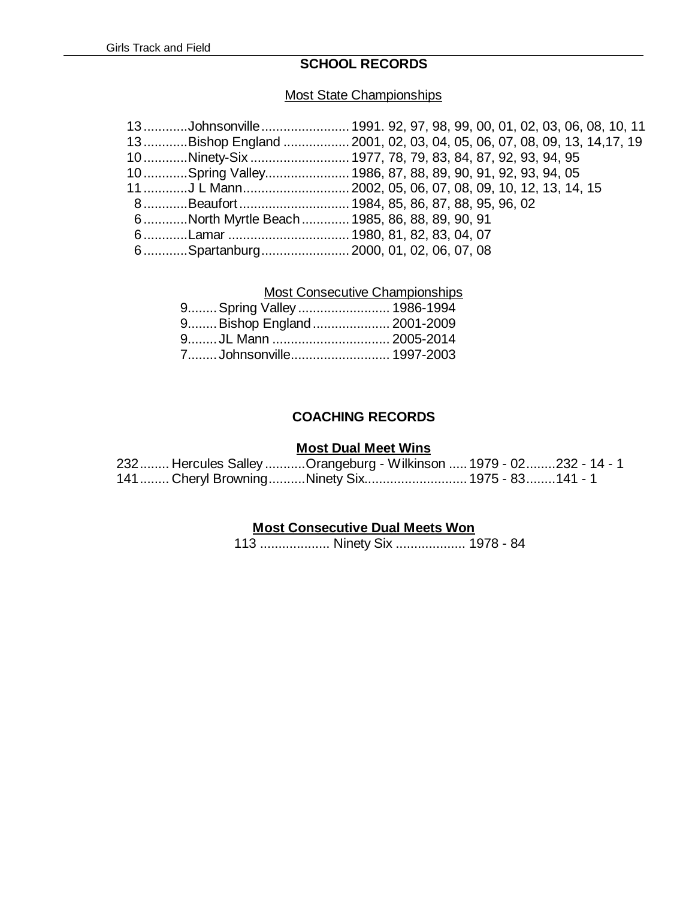# **SCHOOL RECORDS**

### Most State Championships

|  | 13…………Johnsonville…………………… 1991. 92, 97, 98, 99, 00, 01, 02, 03, 06, 08, 10, 11 |
|--|---------------------------------------------------------------------------------|
|  | 13Bishop England  2001, 02, 03, 04, 05, 06, 07, 08, 09, 13, 14,17, 19           |
|  | 10 Ninety-Six  1977, 78, 79, 83, 84, 87, 92, 93, 94, 95                         |
|  | 10Spring Valley 1986, 87, 88, 89, 90, 91, 92, 93, 94, 05                        |
|  | 11 …………J L Mann……………………… 2002, 05, 06, 07, 08, 09, 10, 12, 13, 14, 15           |
|  | 8Beaufort 1984, 85, 86, 87, 88, 95, 96, 02                                      |
|  | 6North Myrtle Beach 1985, 86, 88, 89, 90, 91                                    |
|  |                                                                                 |
|  | 6 Spartanburg 2000, 01, 02, 06, 07, 08                                          |
|  |                                                                                 |

# Most Consecutive Championships

| 9 Spring Valley  1986-1994 |
|----------------------------|
| 9Bishop England 2001-2009  |
| 9JL Mann  2005-2014        |
| 7Johnsonville 1997-2003    |
|                            |

### **COACHING RECORDS**

#### **Most Dual Meet Wins**

|  | 232 Hercules Salley Orangeburg - Wilkinson  1979 - 02232 - 14 - 1 |  |
|--|-------------------------------------------------------------------|--|
|  | 141  Cheryl Browning Ninety Six 1975 - 83  141 - 1                |  |

# **Most Consecutive Dual Meets Won**

113 ................... Ninety Six ................... 1978 - 84